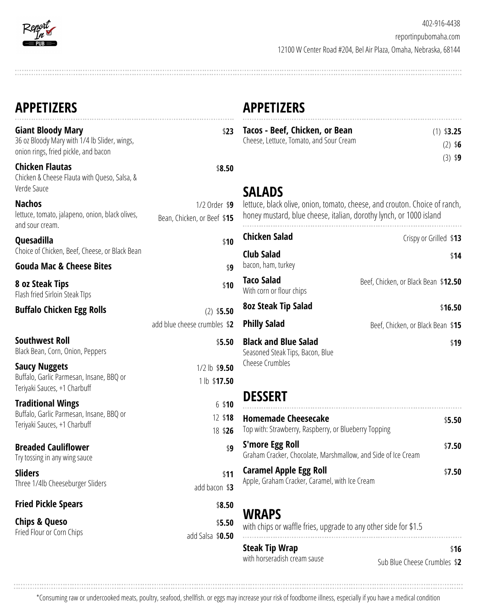

| <b>APPETIZERS</b>                                                                                                |                                              | <b>APPETIZERS</b>                                                                                                                                |                                        |
|------------------------------------------------------------------------------------------------------------------|----------------------------------------------|--------------------------------------------------------------------------------------------------------------------------------------------------|----------------------------------------|
| <b>Giant Bloody Mary</b><br>36 oz Bloody Mary with 1/4 lb Slider, wings,<br>onion rings, fried pickle, and bacon | \$23                                         | Tacos - Beef, Chicken, or Bean<br>Cheese, Lettuce, Tomato, and Sour Cream                                                                        | $(1)$ \$3.25<br>$(2)$ \$6<br>$(3)$ \$9 |
| <b>Chicken Flautas</b><br>Chicken & Cheese Flauta with Queso, Salsa, &<br>Verde Sauce                            | \$8.50                                       | <b>SALADS</b>                                                                                                                                    |                                        |
| <b>Nachos</b><br>lettuce, tomato, jalapeno, onion, black olives,<br>and sour cream.                              | 1/2 Order \$9<br>Bean, Chicken, or Beef \$15 | lettuce, black olive, onion, tomato, cheese, and crouton. Choice of ranch,<br>honey mustard, blue cheese, italian, dorothy lynch, or 1000 island |                                        |
| Quesadilla                                                                                                       | \$10                                         | <b>Chicken Salad</b>                                                                                                                             | Crispy or Grilled \$13                 |
| Choice of Chicken, Beef, Cheese, or Black Bean<br><b>Gouda Mac &amp; Cheese Bites</b>                            | \$9                                          | <b>Club Salad</b><br>bacon, ham, turkey                                                                                                          | \$14                                   |
| 8 oz Steak Tips<br>Flash fried Sirloin Steak Tlps                                                                | \$10                                         | <b>Taco Salad</b><br>With corn or flour chips                                                                                                    | Beef, Chicken, or Black Bean \$12.50   |
| <b>Buffalo Chicken Egg Rolls</b>                                                                                 | $(2)$ \$5.50                                 | <b>8oz Steak Tip Salad</b>                                                                                                                       | \$16.50                                |
|                                                                                                                  | add blue cheese crumbles \$2                 | <b>Philly Salad</b>                                                                                                                              | Beef, Chicken, or Black Bean \$15      |
| <b>Southwest Roll</b><br>Black Bean, Corn, Onion, Peppers                                                        | \$5.50                                       | <b>Black and Blue Salad</b><br>\$19<br>Seasoned Steak Tips, Bacon, Blue<br>Cheese Crumbles                                                       |                                        |
| <b>Saucy Nuggets</b><br>Buffalo, Garlic Parmesan, Insane, BBQ or<br>Teriyaki Sauces, +1 Charbuff                 | $1/2$ lb $$9.50$<br>1 lb \$17.50             |                                                                                                                                                  |                                        |
| <b>Traditional Wings</b>                                                                                         | $6$ \$10                                     | <b>DESSERT</b>                                                                                                                                   |                                        |
| Buffalo, Garlic Parmesan, Insane, BBQ or<br>Teriyaki Sauces, +1 Charbuff                                         | 12 \$18<br>18 \$26                           | <b>Homemade Cheesecake</b><br>Top with: Strawberry, Raspberry, or Blueberry Topping                                                              | \$5.50                                 |
| <b>Breaded Cauliflower</b><br>Try tossing in any wing sauce                                                      | \$9                                          | <b>S'more Egg Roll</b><br>Graham Cracker, Chocolate, Marshmallow, and Side of Ice Cream                                                          | \$7.50                                 |
| <b>Sliders</b><br>Three 1/4lb Cheeseburger Sliders                                                               | \$11<br>add bacon \$3                        | <b>Caramel Apple Egg Roll</b><br>Apple, Graham Cracker, Caramel, with Ice Cream                                                                  | \$7.50                                 |
| <b>Fried Pickle Spears</b>                                                                                       | \$8.50                                       |                                                                                                                                                  |                                        |
| <b>Chips &amp; Queso</b><br>Fried Flour or Corn Chips                                                            | \$5.50<br>add Salsa \$0.50                   | <b>WRAPS</b><br>with chips or waffle fries, upgrade to any other side for \$1.5                                                                  |                                        |
|                                                                                                                  |                                              | <b>Steak Tip Wrap</b><br>with horseradish cream sause                                                                                            | \$16<br>Sub Blue Cheese Crumbles \$2   |

\*Consuming raw or undercooked meats, poultry, seafood, shellfish. or eggs may increase your risk of foodborne illness, especially if you have a medical condition